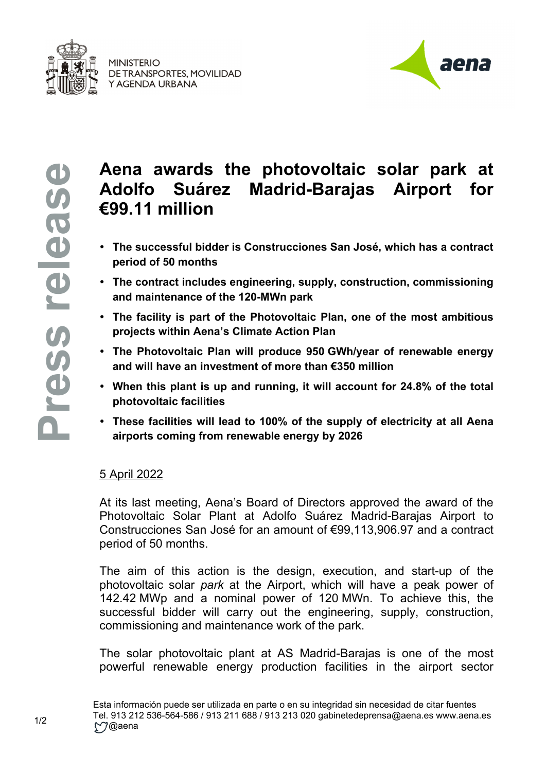

**MINISTERIO** DE TRANSPORTES, MOVILIDAD Y AGENDA URBANA



## **Aena awards the photovoltaic solar park at Adolfo Suárez Madrid-Barajas Airport for €99.11 million**

- **The successful bidder is Construcciones San José, which has a contract period of 50 months**
- **The contract includes engineering, supply, construction, commissioning and maintenance of the 120-MWn park**
- **The facility is part of the Photovoltaic Plan, one of the most ambitious projects within Aena's Climate Action Plan**
- **The Photovoltaic Plan will produce 950 GWh/year of renewable energy and will have an investment of more than €350 million**
- **When this plant is up and running, it will account for 24.8% of the total photovoltaic facilities**
- **These facilities will lead to 100% of the supply of electricity at all Aena airports coming from renewable energy by 2026**

## 5 April 2022

At its last meeting, Aena's Board of Directors approved the award of the Photovoltaic Solar Plant at Adolfo Suárez Madrid-Barajas Airport to Construcciones San José for an amount of €99,113,906.97 and a contract period of 50 months.

The aim of this action is the design, execution, and start-up of the photovoltaic solar *park* at the Airport, which will have a peak power of 142.42 MWp and a nominal power of 120 MWn. To achieve this, the successful bidder will carry out the engineering, supply, construction, commissioning and maintenance work of the park.

The solar photovoltaic plant at AS Madrid-Barajas is one of the most powerful renewable energy production facilities in the airport sector